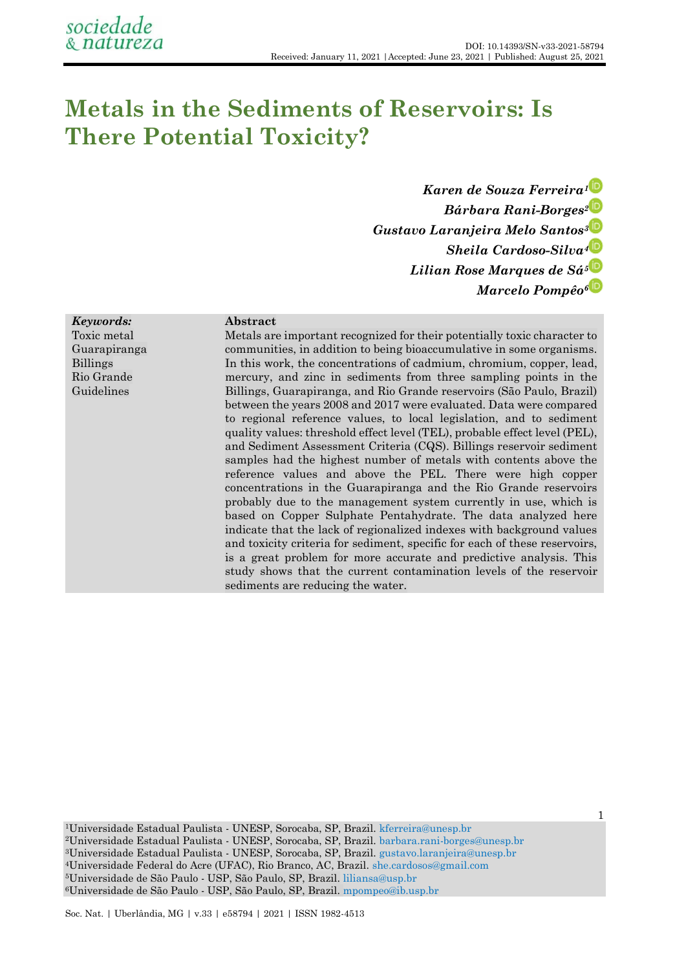# **Metals in the Sediments of Reservoirs: Is There Potential Toxicity?**

*Karen de Souza Ferreira<sup>1</sup> Bárbara Rani-Borges<sup>2</sup> Gustavo Laranjeira Melo Santos<sup>3</sup> Sheila Cardoso-Silva<sup>4</sup> Lilian Rose Marques de Sá<sup>5</sup> Marcelo Pompêo<sup>6</sup>*

1

## *Keywords:*

Toxic metal Guarapiranga Billings Rio Grande Guidelines

## **Abstract**

Metals are important recognized for their potentially toxic character to communities, in addition to being bioaccumulative in some organisms. In this work, the concentrations of cadmium, chromium, copper, lead, mercury, and zinc in sediments from three sampling points in the Billings, Guarapiranga, and Rio Grande reservoirs (São Paulo, Brazil) between the years 2008 and 2017 were evaluated. Data were compared to regional reference values, to local legislation, and to sediment quality values: threshold effect level (TEL), probable effect level (PEL), and Sediment Assessment Criteria (CQS). Billings reservoir sediment samples had the highest number of metals with contents above the reference values and above the PEL. There were high copper concentrations in the Guarapiranga and the Rio Grande reservoirs probably due to the management system currently in use, which is based on Copper Sulphate Pentahydrate. The data analyzed here indicate that the lack of regionalized indexes with background values and toxicity criteria for sediment, specific for each of these reservoirs, is a great problem for more accurate and predictive analysis. This study shows that the current contamination levels of the reservoir sediments are reducing the water.

Universidade Estadual Paulista - UNESP, Sorocaba, SP, Brazil. [kferreira@unesp.br](mailto:kferreira@unesp.br) Universidade Estadual Paulista - UNESP, Sorocaba, SP, Brazil. [barbara.rani-borges@unesp.br](mailto:barbara.rani-borges@unesp.br) Universidade Estadual Paulista - UNESP, Sorocaba, SP, Brazil. [gustavo.laranjeira@unesp.br](mailto:gustavo.laranjeira@unesp.br) Universidade Federal do Acre (UFAC), Rio Branco, AC, Brazil. [she.cardosos@gmail.com](mailto:she.cardosos@gmail.com) Universidade de São Paulo - USP, São Paulo, SP, Brazil. [liliansa@usp.br](mailto:liliansa@usp.br) Universidade de São Paulo - USP, São Paulo, SP, Brazil. [mpompeo@ib.usp.br](mailto:mpompeo@ib.usp.br)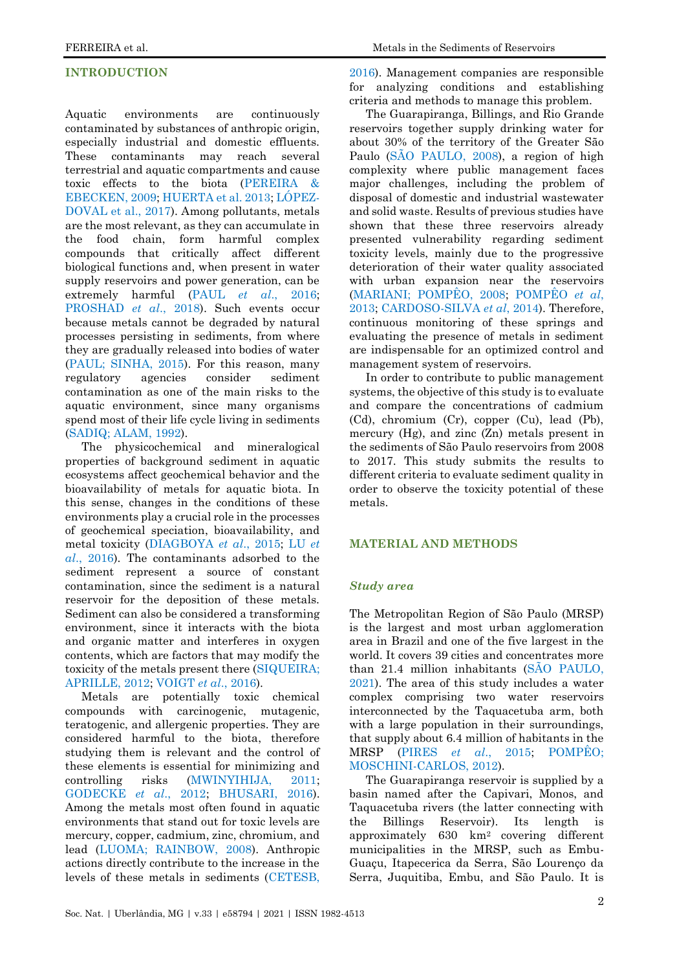# **INTRODUCTION**

Aquatic environments are continuously contaminated by substances of anthropic origin, especially industrial and domestic effluents. These contaminants may reach several terrestrial and aquatic compartments and cause toxic effects to the biota [\(PEREIRA &](#page-9-0)  [EBECKEN, 2009;](#page-9-0) [HUERTA et al. 2013;](#page-9-1) [LÓPEZ-](#page-9-2)[DOVAL et al., 2017\)](#page-9-2). Among pollutants, metals are the most relevant, as they can accumulate in the food chain, form harmful complex compounds that critically affect different biological functions and, when present in water supply reservoirs and power generation, can be extremely harmful [\(PAUL](#page-9-3) *[et al](#page-9-3)*[., 2016;](#page-9-3) [PROSHAD](#page-10-0) *[et al](#page-10-0)*[., 2018\)](#page-10-0). Such events occur because metals cannot be degraded by natural processes persisting in sediments, from where they are gradually released into bodies of water [\(PAUL; SINHA, 2015\)](#page-9-4). For this reason, many regulatory agencies consider sediment contamination as one of the main risks to the aquatic environment, since many organisms spend most of their life cycle living in sediments [\(SADIQ; ALAM, 1992\)](#page-10-1).

The physicochemical and mineralogical properties of background sediment in aquatic ecosystems affect geochemical behavior and the bioavailability of metals for aquatic biota. In this sense, changes in the conditions of these environments play a crucial role in the processes of geochemical speciation, bioavailability, and metal toxicity [\(DIAGBOYA](#page-8-0) *[et al](#page-8-0)*[., 2015;](#page-8-0) [LU](#page-9-5) *[et](#page-9-5)  [al](#page-9-5)*[., 2016\)](#page-9-5). The contaminants adsorbed to the sediment represent a source of constant contamination, since the sediment is a natural reservoir for the deposition of these metals. Sediment can also be considered a transforming environment, since it interacts with the biota and organic matter and interferes in oxygen contents, which are factors that may modify the toxicity of the metals present there [\(SIQUEIRA;](#page-10-2)  [APRILLE, 2012;](#page-10-2) [VOIGT](#page-11-0) *[et al](#page-11-0)*[., 2016\)](#page-11-0).

Metals are potentially toxic chemical compounds with carcinogenic, mutagenic, teratogenic, and allergenic properties. They are considered harmful to the biota, therefore studying them is relevant and the control of these elements is essential for minimizing and controlling risks [\(MWINYIHIJA, 2011;](#page-9-6) [GODECKE](#page-9-7) *[et al](#page-9-7)*[., 2012;](#page-9-7) [BHUSARI, 2016\)](#page-8-1). Among the metals most often found in aquatic environments that stand out for toxic levels are mercury, copper, cadmium, zinc, chromium, and lead [\(LUOMA; RAINBOW, 2008\)](#page-9-8). Anthropic actions directly contribute to the increase in the levels of these metals in sediments [\(CETESB,](#page-8-2) 

[2016\)](#page-8-2). Management companies are responsible for analyzing conditions and establishing criteria and methods to manage this problem.

The Guarapiranga, Billings, and Rio Grande reservoirs together supply drinking water for about 30% of the territory of the Greater São Paulo [\(SÃO PAULO, 2008\)](#page-10-3), a region of high complexity where public management faces major challenges, including the problem of disposal of domestic and industrial wastewater and solid waste. Results of previous studies have shown that these three reservoirs already presented vulnerability regarding sediment toxicity levels, mainly due to the progressive deterioration of their water quality associated with urban expansion near the reservoirs [\(MARIANI; POMPÊO, 2008;](#page-9-9) [POMPÊO](#page-10-4) *[et al](#page-10-4)*[,](#page-10-4)  [2013;](#page-10-4) [CARDOSO-SILVA](#page-8-3) *[et al](#page-8-3)*[, 2014\)](#page-8-3). Therefore, continuous monitoring of these springs and evaluating the presence of metals in sediment are indispensable for an optimized control and management system of reservoirs.

In order to contribute to public management systems, the objective of this study is to evaluate and compare the concentrations of cadmium (Cd), chromium (Cr), copper (Cu), lead (Pb), mercury (Hg), and zinc (Zn) metals present in the sediments of São Paulo reservoirs from 2008 to 2017. This study submits the results to different criteria to evaluate sediment quality in order to observe the toxicity potential of these metals.

#### **MATERIAL AND METHODS**

#### *Study area*

The Metropolitan Region of São Paulo (MRSP) is the largest and most urban agglomeration area in Brazil and one of the five largest in the world. It covers 39 cities and concentrates more than 21.4 million inhabitants [\(SÃO PAULO,](#page-10-5)  [2021\)](#page-10-5). The area of this study includes a water complex comprising two water reservoirs interconnected by the Taquacetuba arm, both with a large population in their surroundings, that supply about 6.4 million of habitants in the MRSP [\(PIRES](#page-9-10) *[et al](#page-9-10)*[., 2015;](#page-9-10) [POMPÊO;](#page-10-6)  [MOSCHINI-CARLOS, 2012\)](#page-10-6).

The Guarapiranga reservoir is supplied by a basin named after the Capivari, Monos, and Taquacetuba rivers (the latter connecting with the Billings Reservoir). Its length is approximately 630 km2 covering different municipalities in the MRSP, such as Embu-Guaçu, Itapecerica da Serra, São Lourenço da Serra, Juquitiba, Embu, and São Paulo. It is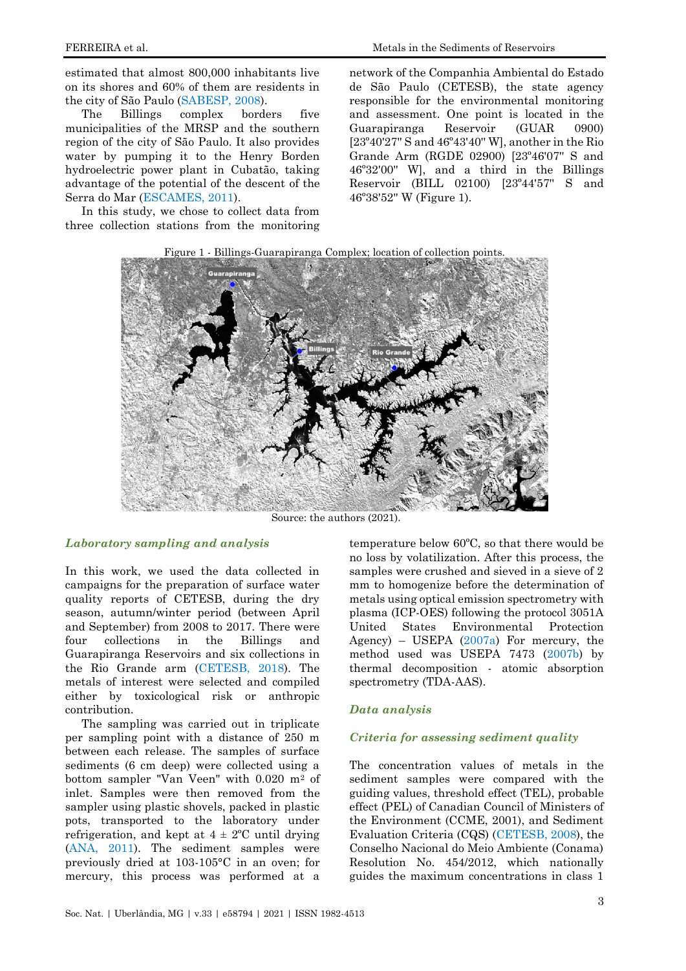estimated that almost 800,000 inhabitants live on its shores and 60% of them are residents in the city of São Paulo [\(SABESP, 2008\)](#page-10-7).

The Billings complex borders five municipalities of the MRSP and the southern region of the city of São Paulo. It also provides water by pumping it to the Henry Borden hydroelectric power plant in Cubatão, taking advantage of the potential of the descent of the Serra do Mar [\(ESCAMES, 2011\)](#page-8-4).

In this study, we chose to collect data from three collection stations from the monitoring network of the Companhia Ambiental do Estado de São Paulo (CETESB), the state agency responsible for the environmental monitoring and assessment. One point is located in the Guarapiranga Reservoir (GUAR 0900) [23º40'27'' S and 46º43'40'' W], another in the Rio Grande Arm (RGDE 02900) [23º46'07'' S and 46º32'00'' W], and a third in the Billings Reservoir (BILL 02100) [23º44'57'' S and 46º38'52'' W (Figure 1).





Source: the authors (2021).

### *Laboratory sampling and analysis*

In this work, we used the data collected in campaigns for the preparation of surface water quality reports of CETESB, during the dry season, autumn/winter period (between April and September) from 2008 to 2017. There were four collections in the Billings and Guarapiranga Reservoirs and six collections in the Rio Grande arm [\(CETESB, 2018\)](#page-8-2). The metals of interest were selected and compiled either by toxicological risk or anthropic contribution.

The sampling was carried out in triplicate per sampling point with a distance of 250 m between each release. The samples of surface sediments (6 cm deep) were collected using a bottom sampler "Van Veen" with 0.020 m<sup>2</sup> of inlet. Samples were then removed from the sampler using plastic shovels, packed in plastic pots, transported to the laboratory under refrigeration, and kept at  $4 \pm 2$ °C until drying [\(ANA, 2011\)](#page-8-5). The sediment samples were previously dried at 103-105°C in an oven; for mercury, this process was performed at a

temperature below 60ºC, so that there would be no loss by volatilization. After this process, the samples were crushed and sieved in a sieve of 2 mm to homogenize before the determination of metals using optical emission spectrometry with plasma (ICP-OES) following the protocol 3051A United States Environmental Protection Agency) – USEPA [\(2007a\)](#page-10-8) For mercury, the method used was USEPA 7473 [\(2007b\)](#page-10-8) by thermal decomposition - atomic absorption spectrometry (TDA-AAS).

### *Data analysis*

## *Criteria for assessing sediment quality*

The concentration values of metals in the sediment samples were compared with the guiding values, threshold effect (TEL), probable effect (PEL) of Canadian Council of Ministers of the Environment (CCME, 2001), and Sediment Evaluation Criteria (CQS) [\(CETESB, 2008\)](#page-8-2), the Conselho Nacional do Meio Ambiente (Conama) Resolution No. 454/2012, which nationally guides the maximum concentrations in class 1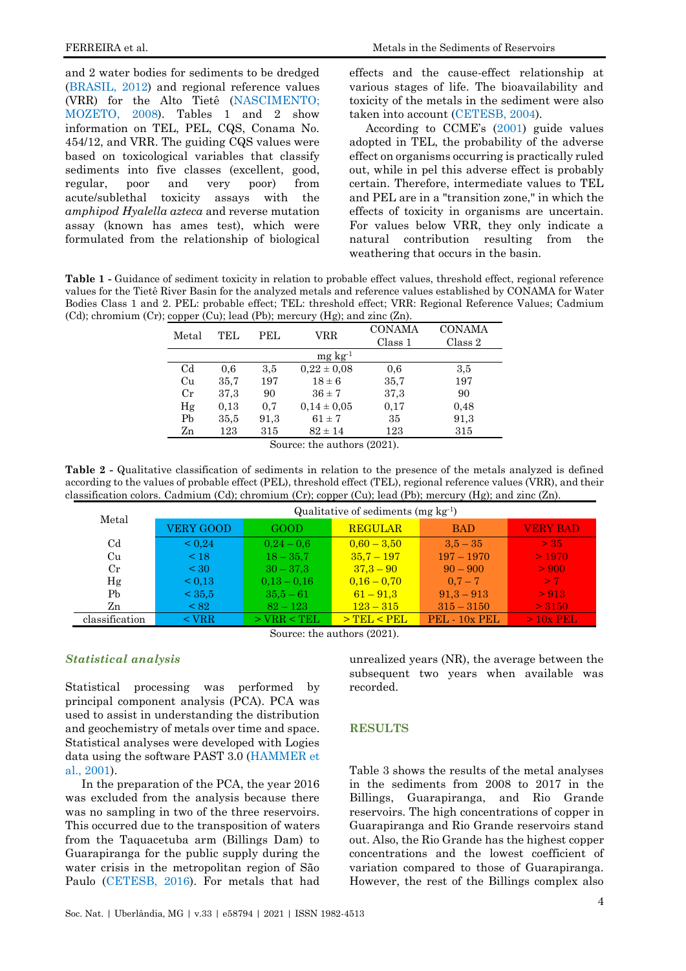FERREIRA et al. Metals in the Sediments of Reservoirs

and 2 water bodies for sediments to be dredged [\(BRASIL, 2012\)](#page-8-6) and regional reference values (VRR) for the Alto Tietê [\(NASCIMENTO;](#page-9-11)  [MOZETO, 2008\)](#page-9-11). Tables 1 and 2 show information on TEL, PEL, CQS, Conama No. 454/12, and VRR. The guiding CQS values were based on toxicological variables that classify sediments into five classes (excellent, good, regular, poor and very poor) from acute/sublethal toxicity assays with the *amphipod Hyalella azteca* and reverse mutation assay (known has ames test), which were formulated from the relationship of biological

effects and the cause-effect relationship at various stages of life. The bioavailability and toxicity of the metals in the sediment were also taken into account [\(CETESB, 2004\)](#page-8-7).

According to CCME's ([2001\)](#page-8-8) guide values adopted in TEL, the probability of the adverse effect on organisms occurring is practically ruled out, while in pel this adverse effect is probably certain. Therefore, intermediate values to TEL and PEL are in a "transition zone," in which the effects of toxicity in organisms are uncertain. For values below VRR, they only indicate a natural contribution resulting from the weathering that occurs in the basin.

**Table 1 -** Guidance of sediment toxicity in relation to probable effect values, threshold effect, regional reference values for the Tietê River Basin for the analyzed metals and reference values established by CONAMA for Water Bodies Class 1 and 2. PEL: probable effect; TEL: threshold effect; VRR: Regional Reference Values; Cadmium (Cd); chromium (Cr); copper (Cu); lead (Pb); mercury (Hg); and zinc  $(Zn)$ .

| Metal          | TEL  | PEL. | VRR             | <b>CONAMA</b><br>Class 1 | <b>CONAMA</b><br>Class 2 |
|----------------|------|------|-----------------|--------------------------|--------------------------|
|                |      |      | $mg \, kg^{-1}$ |                          |                          |
| C <sub>d</sub> | 0.6  | 3,5  | $0.22 \pm 0.08$ | 0,6                      | 3,5                      |
| Cu             | 35,7 | 197  | $18 \pm 6$      | 35.7                     | 197                      |
| $_{\rm Cr}$    | 37,3 | 90   | $36 \pm 7$      | 37,3                     | 90                       |
| Hg             | 0.13 | 0.7  | $0.14 \pm 0.05$ | 0.17                     | 0.48                     |
| Pb             | 35,5 | 91,3 | $61 \pm 7$      | 35                       | 91,3                     |
| Zn             | 123  | 315  | $82 \pm 14$     | 123                      | 315                      |

Source: the authors (2021).

**Table 2 -** Qualitative classification of sediments in relation to the presence of the metals analyzed is defined according to the values of probable effect (PEL), threshold effect (TEL), regional reference values (VRR), and their classification colors. Cadmium (Cd); chromium (Cr); copper (Cu); lead (Pb); mercury (Hg); and zinc (Zn).

| Metal          | Qualitative of sediments ( $mg \nvert g^{-1}$ ) |                 |                 |               |                 |  |  |  |
|----------------|-------------------------------------------------|-----------------|-----------------|---------------|-----------------|--|--|--|
|                | <b>VERY GOOD</b>                                | GOOD            | <b>REGULAR</b>  | <b>BAD</b>    | <b>VERY BAD</b> |  |  |  |
| Cd             | ${}_{0.24}$                                     | $0.24 - 0.6$    | $0,60 - 3,50$   | $3.5 - 35$    | > 35            |  |  |  |
| Cu             | $\leq 18$                                       | $18 - 35.7$     | $35.7 - 197$    | $197 - 1970$  | >1970           |  |  |  |
| $_{Cr}$        | ${}_{<}30$                                      | $30 - 37.3$     | $37.3 - 90$     | $90 - 900$    | > 900           |  |  |  |
| Hg             | $\leq 0.13$                                     | $0.13 - 0.16$   | $0.16 - 0.70$   | $0.7 - 7$     | > 7             |  |  |  |
| Pb             | < 35.5                                          | $35.5 - 61$     | $61 - 91.3$     | $91.3 - 913$  | > 913           |  |  |  |
| Zn             | < 82                                            | $82 - 123$      | $123 - 315$     | $315 - 3150$  | > 3150          |  |  |  |
| classification | $<$ VRR                                         | $>$ VRR $<$ TEL | $>$ TEL $<$ PEL | PEL - 10x PEL | $>10x$ PEL      |  |  |  |

Source: the authors (2021).

### *Statistical analysis*

Statistical processing was performed by principal component analysis (PCA). PCA was used to assist in understanding the distribution and geochemistry of metals over time and space. Statistical analyses were developed with Logies data using the software PAST 3.0 [\(HAMMER et](#page-9-12)  [al., 2001\)](#page-9-12).

In the preparation of the PCA, the year 2016 was excluded from the analysis because there was no sampling in two of the three reservoirs. This occurred due to the transposition of waters from the Taquacetuba arm (Billings Dam) to Guarapiranga for the public supply during the water crisis in the metropolitan region of São Paulo [\(CETESB, 2016\)](#page-8-2). For metals that had

unrealized years (NR), the average between the subsequent two years when available was recorded.

#### **RESULTS**

Table 3 shows the results of the metal analyses in the sediments from 2008 to 2017 in the Billings, Guarapiranga, and Rio Grande reservoirs. The high concentrations of copper in Guarapiranga and Rio Grande reservoirs stand out. Also, the Rio Grande has the highest copper concentrations and the lowest coefficient of variation compared to those of Guarapiranga. However, the rest of the Billings complex also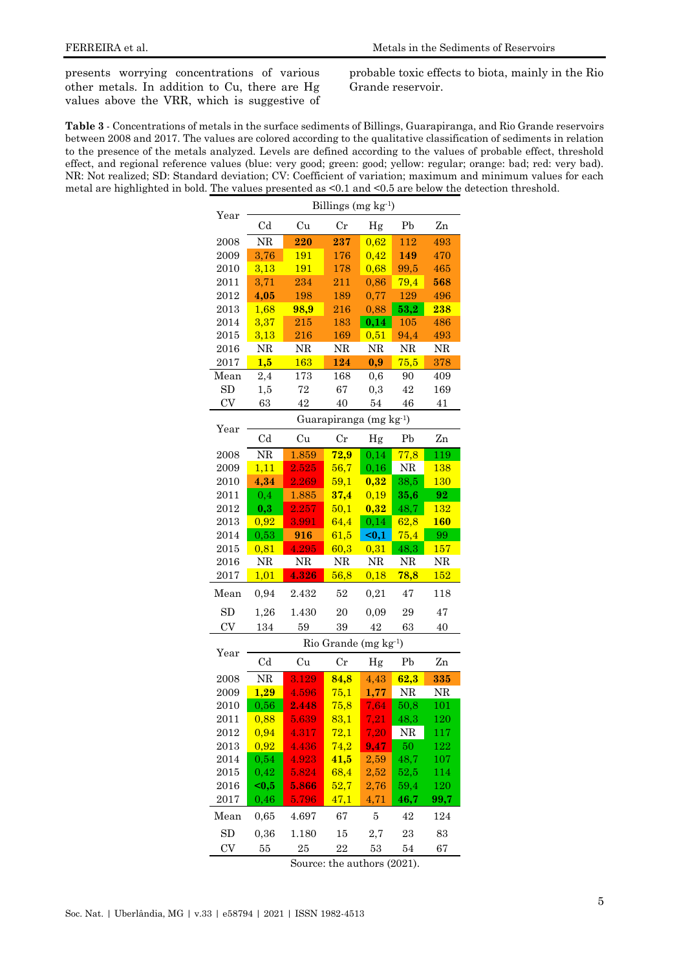presents worrying concentrations of various other metals. In addition to Cu, there are Hg values above the VRR, which is suggestive of probable toxic effects to biota, mainly in the Rio Grande reservoir.

**Table 3** - Concentrations of metals in the surface sediments of Billings, Guarapiranga, and Rio Grande reservoirs between 2008 and 2017. The values are colored according to the qualitative classification of sediments in relation to the presence of the metals analyzed. Levels are defined according to the values of probable effect, threshold effect, and regional reference values (blue: very good; green: good; yellow: regular; orange: bad; red: very bad). NR: Not realized; SD: Standard deviation; CV: Coefficient of variation; maximum and minimum values for each metal are highlighted in bold. The values presented as <0.1 and <0.5 are below the detection threshold.

|           | Billings (mg kg <sup>-1</sup> ) |                        |                   |          |                |             |  |  |
|-----------|---------------------------------|------------------------|-------------------|----------|----------------|-------------|--|--|
| Year      | C <sub>d</sub>                  | Cu                     | $_{\rm Cr}$       | Hg       | Pb             | Zn          |  |  |
| 2008      | NR                              | 220                    | 237               | 0,62     | 112            | 493         |  |  |
| 2009      | 3,76                            | 191                    | 176               | 0,42     | 149            | 470         |  |  |
| 2010      | 3,13                            | 191                    | 178               | 0,68     | 99,5           | 465         |  |  |
| 2011      | 3,71                            | 234                    | 211               | 0,86     | 79,4           | 568         |  |  |
| 2012      | 4,05                            | 198                    | 189               | 0,77     | 129            | 496         |  |  |
| 2013      | 1,68                            | 98,9                   | 216               | 0,88     | 53,2           | 238         |  |  |
| 2014      | 3,37                            | 215                    | 183               | 0,14     | 105            | 486         |  |  |
| 2015      | 3,13                            | 216                    | 169               | 0,51     | 94,4           | 493         |  |  |
| 2016      | NR                              | NR                     | NR                | NR       | NR             | NR          |  |  |
| 2017      | 1,5                             | 163                    | 124               | 0,9      | 75,5           | 378         |  |  |
| Mean      | 2,4                             | 173                    | 168               | 0,6      | 90             | 409         |  |  |
| SD        | 1,5                             | 72                     | 67                | $_{0,3}$ | 42             | 169         |  |  |
| $\rm{CV}$ | 63                              | 42                     | 40                | 54       | 46             | 41          |  |  |
|           | Guarapiranga (mg kg-1)          |                        |                   |          |                |             |  |  |
| Year      | Cd                              | Cu                     | $_{\rm Cr}$       | Hg       | Pb             | Zn          |  |  |
| 2008      | NR                              | 1.859                  | 72,9              | 0,14     | 77,8           | 119         |  |  |
| 2009      | 1,11                            | 2.525                  | 56,7              | 0,16     | NR             | <b>138</b>  |  |  |
| 2010      | 4,34                            | 2.269                  | 59,1              | 0,32     | 38,5           | <b>130</b>  |  |  |
| 2011      | 0,4                             | 1.885                  | 37,4              | 0,19     | 35,6           | 92          |  |  |
| 2012      | 0,3                             | $\overline{\bf 2.257}$ | 50,1              | 0,32     | 48,7           | <u> 132</u> |  |  |
| 2013      | 0,92                            | 3.991                  | 64,4              | 0,14     | 62,8           | <b>160</b>  |  |  |
| 2014      | 0,53                            | 916                    | 61,5              | $0,1$    | 75,4           | 99          |  |  |
| 2015      | 0,81                            | 4.295                  | 60,3              | 0,31     | 48,3           | <b>157</b>  |  |  |
| 2016      | NR                              | NR                     | NR                | NR       | NR             | NR          |  |  |
| 2017      | 1,01                            | 4.326                  | 56,8              | 0,18     | 78,8           | 152         |  |  |
| Mean      | 0,94                            | 2.432                  | 52                | 0,21     | 47             | 118         |  |  |
| SD        | 1,26                            | 1.430                  | 20                | 0,09     | 29             | 47          |  |  |
| CV        | 134                             | 59                     | 39                | 42       | 63             | 40          |  |  |
|           | Rio Grande (mg kg-1)            |                        |                   |          |                |             |  |  |
| Year      | C <sub>d</sub>                  | Cu                     | $_{\rm Cr}$       | Hg       | P <sub>b</sub> | Zn          |  |  |
| 2008      | NR                              | 3.129                  | 84,8              | 4,43     | 62,3           | 335         |  |  |
| 2009      | 1,29                            | 4.596                  | 75,1              | 1,77     | NR             | $_{\rm NR}$ |  |  |
| 2010      | 0,56                            | 2.448                  | 75,8              | 7,64     | 50,8           | 101         |  |  |
| 2011      | 0,88                            | 5.639                  | 83,1              | 7,21     | 48,3           | 120         |  |  |
| 2012      | 0,94                            | 4.317                  | 72,1              | 7,20     | NR             | 117         |  |  |
| 2013      | 0,92                            | 4.436                  | 74,2              | 9,47     | $50\,$         | 122         |  |  |
| 2014      | 0,54                            | <b>4.923</b>           | 41,5              | 2,59     | 48,7           | 107         |  |  |
| 2015      | 0,42                            | 5.824                  | 68,4              | 2,52     | 52,5           | 114         |  |  |
| 2016      | $0,5$                           | 5.866                  | 52,7              | 2,76     | 59,4           | <b>120</b>  |  |  |
| 2017      | 0,46                            | 5.796                  | $\overline{47,1}$ | 4,71     | 46,7           | 99,7        |  |  |
| Mean      | 0,65                            | 4.697                  | 67                | 5        | 42             | 124         |  |  |
| SD        | 0,36                            | 1.180                  | 15                | 2,7      | 23             | 83          |  |  |
| CV        | 55                              | 25                     | 22                | 53       | 54             | 67          |  |  |

Source: the authors (2021).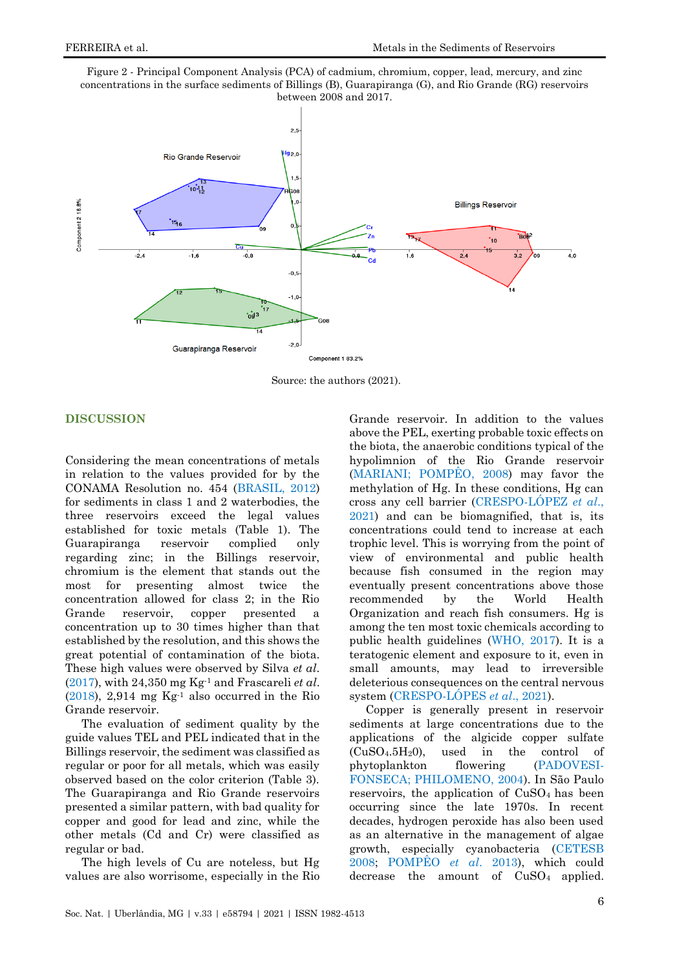



Source: the authors (2021).

### **DISCUSSION**

Considering the mean concentrations of metals in relation to the values provided for by the CONAMA Resolution no. 454 [\(BRASIL, 2012\)](#page-8-6) for sediments in class 1 and 2 waterbodies, the three reservoirs exceed the legal values established for toxic metals (Table 1). The Guarapiranga reservoir complied only regarding zinc; in the Billings reservoir, chromium is the element that stands out the most for presenting almost twice the concentration allowed for class 2; in the Rio Grande reservoir, copper presented a concentration up to 30 times higher than that established by the resolution, and this shows the great potential of contamination of the biota. These high values were observed by Silva *et al*. [\(2017\)](#page-10-9), with 24,350 mg Kg-1 and Frascareli *et al*.  $(2018)$ , 2,914 mg Kg<sup>-1</sup> also occurred in the Rio Grande reservoir.

The evaluation of sediment quality by the guide values TEL and PEL indicated that in the Billings reservoir, the sediment was classified as regular or poor for all metals, which was easily observed based on the color criterion (Table 3). The Guarapiranga and Rio Grande reservoirs presented a similar pattern, with bad quality for copper and good for lead and zinc, while the other metals (Cd and Cr) were classified as regular or bad.

The high levels of Cu are noteless, but Hg values are also worrisome, especially in the Rio Grande reservoir. In addition to the values above the PEL, exerting probable toxic effects on the biota, the anaerobic conditions typical of the hypolimnion of the Rio Grande reservoir [\(MARIANI; POMPÊO, 2008\)](#page-9-9) may favor the methylation of Hg. In these conditions, Hg can cross any cell barrier [\(CRESPO-LÓPEZ](#page-8-10) *[et al](#page-8-10)*[.,](#page-8-10)  [2021\)](#page-8-10) and can be biomagnified, that is, its concentrations could tend to increase at each trophic level. This is worrying from the point of view of environmental and public health because fish consumed in the region may eventually present concentrations above those recommended by the World Health Organization and reach fish consumers. Hg is among the ten most toxic chemicals according to public health guidelines [\(WHO, 2017\)](#page-11-1). It is a teratogenic element and exposure to it, even in small amounts, may lead to irreversible deleterious consequences on the central nervous system [\(CRESPO-LÓPES](#page-8-10) *[et al](#page-8-10)*[., 2021\)](#page-8-10).

Copper is generally present in reservoir sediments at large concentrations due to the applications of the algicide copper sulfate  $(CuSO<sub>4</sub>.5H<sub>2</sub>O)$ , used in the control of phytoplankton flowering [\(PADOVESI-](#page-9-13)[FONSECA; PHILOMENO, 2004\)](#page-9-13). In São Paulo reservoirs, the application of  $CuSO<sub>4</sub>$  has been occurring since the late 1970s. In recent decades, hydrogen peroxide has also been used as an alternative in the management of algae growth, especially cyanobacteria [\(CETESB](#page-8-7)  [2008;](#page-8-7) [POMPÊO](#page-10-4) *[et al](#page-10-4)*[. 2013\)](#page-10-4), which could decrease the amount of CuSO<sub>4</sub> applied.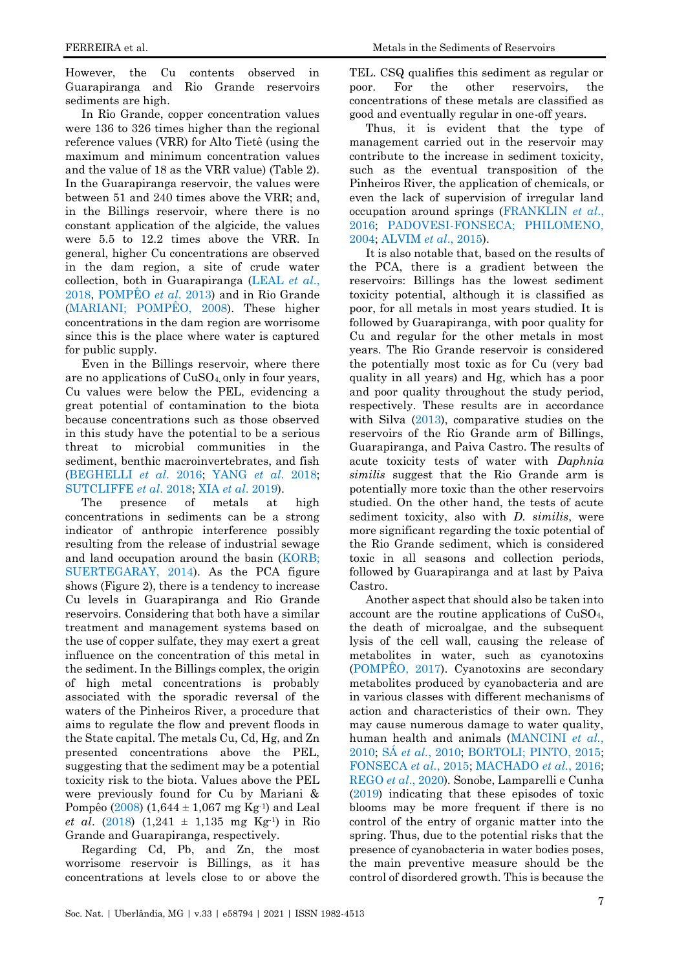However, the Cu contents observed in Guarapiranga and Rio Grande reservoirs sediments are high.

In Rio Grande, copper concentration values were 136 to 326 times higher than the regional reference values (VRR) for Alto Tietê (using the maximum and minimum concentration values and the value of 18 as the VRR value) (Table 2). In the Guarapiranga reservoir, the values were between 51 and 240 times above the VRR; and, in the Billings reservoir, where there is no constant application of the algicide, the values were 5.5 to 12.2 times above the VRR. In general, higher Cu concentrations are observed in the dam region, a site of crude water collection, both in Guarapiranga [\(LEAL](#page-9-14) *[et al](#page-9-14)*[.,](#page-9-14)  [2018,](#page-9-14) [POMPÊO](#page-10-4) *[et al](#page-10-4)*[. 2013\)](#page-10-4) and in Rio Grande [\(MARIANI; POMPÊO, 2008\)](#page-9-9). These higher concentrations in the dam region are worrisome since this is the place where water is captured for public supply.

Even in the Billings reservoir, where there are no applications of  $CuSO<sub>4</sub>$  only in four years, Cu values were below the PEL, evidencing a great potential of contamination to the biota because concentrations such as those observed in this study have the potential to be a serious threat to microbial communities in the sediment, benthic macroinvertebrates, and fish [\(BEGHELLI](#page-8-11) *[et al](#page-8-11)*[. 2016;](#page-8-11) [YANG](#page-11-2) *[et al](#page-11-2)*[. 2018;](#page-11-2) [SUTCLIFFE](#page-10-10) *[et al](#page-10-10)*[. 2018;](#page-10-10) [XIA](#page-11-3) *[et al](#page-11-3)*[. 2019\)](#page-11-3).

The presence of metals at high concentrations in sediments can be a strong indicator of anthropic interference possibly resulting from the release of industrial sewage and land occupation around the basin [\(KORB;](#page-9-15)  [SUERTEGARAY, 2014\)](#page-9-15). As the PCA figure shows (Figure 2), there is a tendency to increase Cu levels in Guarapiranga and Rio Grande reservoirs. Considering that both have a similar treatment and management systems based on the use of copper sulfate, they may exert a great influence on the concentration of this metal in the sediment. In the Billings complex, the origin of high metal concentrations is probably associated with the sporadic reversal of the waters of the Pinheiros River, a procedure that aims to regulate the flow and prevent floods in the State capital. The metals Cu, Cd, Hg, and Zn presented concentrations above the PEL, suggesting that the sediment may be a potential toxicity risk to the biota. Values above the PEL were previously found for Cu by Mariani & Pompêo  $(2008)$   $(1,644 \pm 1,067 \text{ mg Kg}^{-1})$  and Leal *et al*. [\(2018\)](#page-9-14) (1,241 ± 1,135 mg Kg-1) in Rio Grande and Guarapiranga, respectively.

Regarding Cd, Pb, and Zn, the most worrisome reservoir is Billings, as it has concentrations at levels close to or above the

TEL. CSQ qualifies this sediment as regular or poor. For the other reservoirs, the concentrations of these metals are classified as good and eventually regular in one-off years.

Thus, it is evident that the type of management carried out in the reservoir may contribute to the increase in sediment toxicity, such as the eventual transposition of the Pinheiros River, the application of chemicals, or even the lack of supervision of irregular land occupation around springs [\(FRANKLIN](#page-8-12) *[et al](#page-8-12)*[.,](#page-8-12)  [2016;](#page-8-12) [PADOVESI-FONSECA; PHILOMENO,](#page-9-13)  [2004;](#page-9-13) [ALVIM](#page-8-13) *[et al](#page-8-13)*[., 2015\)](#page-8-13).

It is also notable that, based on the results of the PCA, there is a gradient between the reservoirs: Billings has the lowest sediment toxicity potential, although it is classified as poor, for all metals in most years studied. It is followed by Guarapiranga, with poor quality for Cu and regular for the other metals in most years. The Rio Grande reservoir is considered the potentially most toxic as for Cu (very bad quality in all years) and Hg, which has a poor and poor quality throughout the study period, respectively. These results are in accordance with Silva [\(2013\)](#page-10-9), comparative studies on the reservoirs of the Rio Grande arm of Billings, Guarapiranga, and Paiva Castro. The results of acute toxicity tests of water with *Daphnia similis* suggest that the Rio Grande arm is potentially more toxic than the other reservoirs studied. On the other hand, the tests of acute sediment toxicity, also with *D. similis*, were more significant regarding the toxic potential of the Rio Grande sediment, which is considered toxic in all seasons and collection periods, followed by Guarapiranga and at last by Paiva Castro.

Another aspect that should also be taken into account are the routine applications of CuSO4, the death of microalgae, and the subsequent lysis of the cell wall, causing the release of metabolites in water, such as cyanotoxins [\(POMPÊO, 2017\)](#page-10-4). Cyanotoxins are secondary metabolites produced by cyanobacteria and are in various classes with different mechanisms of action and characteristics of their own. They may cause numerous damage to water quality, human health and animals [\(MANCINI](#page-9-16) *[et al.](#page-9-16)*[,](#page-9-16)  [2010;](#page-9-16) [SÁ](#page-10-11) *[et al.](#page-10-11)*[, 2010;](#page-10-11) [BORTOLI; PINTO, 2015;](#page-8-14) [FONSECA](#page-8-15) *[et al.](#page-8-15)*[, 2015;](#page-8-15) [MACHADO](#page-9-17) *[et al.](#page-9-17)*[, 2016;](#page-9-17) [REGO](#page-10-12) *[et al](#page-10-12)*[., 2020\)](#page-10-12)*.* Sonobe, Lamparelli e Cunha [\(2019\)](#page-10-13) indicating that these episodes of toxic blooms may be more frequent if there is no control of the entry of organic matter into the spring. Thus, due to the potential risks that the presence of cyanobacteria in water bodies poses, the main preventive measure should be the control of disordered growth. This is because the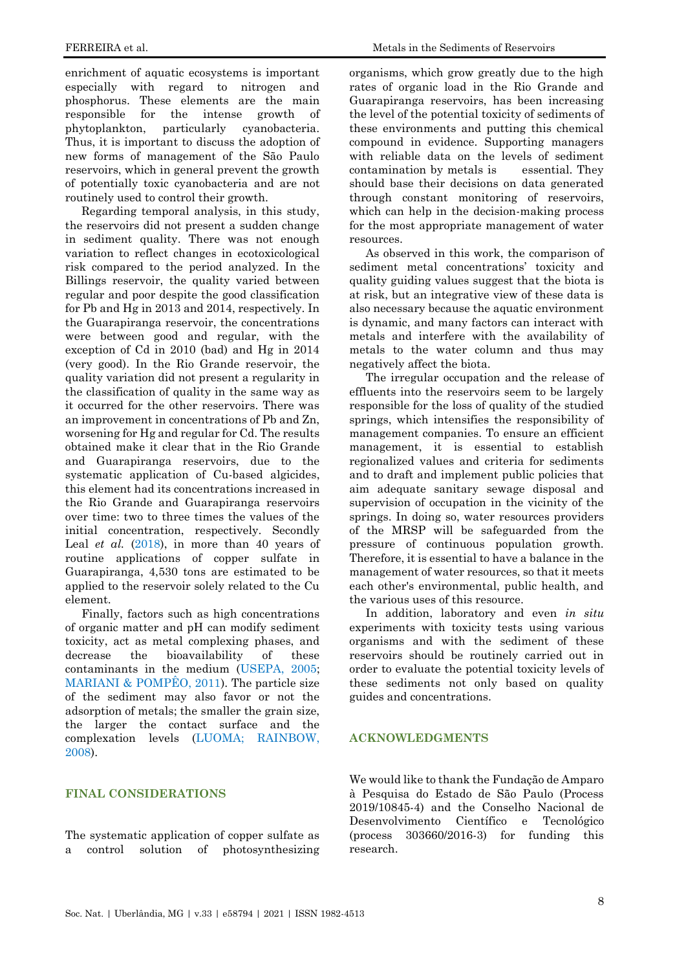enrichment of aquatic ecosystems is important especially with regard to nitrogen and phosphorus. These elements are the main responsible for the intense growth of phytoplankton, particularly cyanobacteria. Thus, it is important to discuss the adoption of new forms of management of the São Paulo reservoirs, which in general prevent the growth of potentially toxic cyanobacteria and are not routinely used to control their growth.

Regarding temporal analysis, in this study, the reservoirs did not present a sudden change in sediment quality. There was not enough variation to reflect changes in ecotoxicological risk compared to the period analyzed. In the Billings reservoir, the quality varied between regular and poor despite the good classification for Pb and Hg in 2013 and 2014, respectively. In the Guarapiranga reservoir, the concentrations were between good and regular, with the exception of Cd in 2010 (bad) and Hg in 2014 (very good). In the Rio Grande reservoir, the quality variation did not present a regularity in the classification of quality in the same way as it occurred for the other reservoirs. There was an improvement in concentrations of Pb and Zn, worsening for Hg and regular for Cd. The results obtained make it clear that in the Rio Grande and Guarapiranga reservoirs, due to the systematic application of Cu-based algicides, this element had its concentrations increased in the Rio Grande and Guarapiranga reservoirs over time: two to three times the values of the initial concentration, respectively. Secondly Leal *et al.* [\(2018\)](#page-9-14), in more than 40 years of routine applications of copper sulfate in Guarapiranga, 4,530 tons are estimated to be applied to the reservoir solely related to the Cu element.

Finally, factors such as high concentrations of organic matter and pH can modify sediment toxicity, act as metal complexing phases, and decrease the bioavailability of these contaminants in the medium [\(USEPA, 2005;](#page-10-14) [MARIANI & POMPÊO, 2011\)](#page-9-18). The particle size of the sediment may also favor or not the adsorption of metals; the smaller the grain size, the larger the contact surface and the complexation levels [\(LUOMA; RAINBOW,](#page-9-8)  [2008\)](#page-9-8).

#### **FINAL CONSIDERATIONS**

The systematic application of copper sulfate as a control solution of photosynthesizing

organisms, which grow greatly due to the high rates of organic load in the Rio Grande and Guarapiranga reservoirs, has been increasing the level of the potential toxicity of sediments of these environments and putting this chemical compound in evidence. Supporting managers with reliable data on the levels of sediment contamination by metals is essential. They should base their decisions on data generated through constant monitoring of reservoirs, which can help in the decision-making process for the most appropriate management of water resources.

As observed in this work, the comparison of sediment metal concentrations' toxicity and quality guiding values suggest that the biota is at risk, but an integrative view of these data is also necessary because the aquatic environment is dynamic, and many factors can interact with metals and interfere with the availability of metals to the water column and thus may negatively affect the biota.

The irregular occupation and the release of effluents into the reservoirs seem to be largely responsible for the loss of quality of the studied springs, which intensifies the responsibility of management companies. To ensure an efficient management, it is essential to establish regionalized values and criteria for sediments and to draft and implement public policies that aim adequate sanitary sewage disposal and supervision of occupation in the vicinity of the springs. In doing so, water resources providers of the MRSP will be safeguarded from the pressure of continuous population growth. Therefore, it is essential to have a balance in the management of water resources, so that it meets each other's environmental, public health, and the various uses of this resource.

In addition, laboratory and even *in situ*  experiments with toxicity tests using various organisms and with the sediment of these reservoirs should be routinely carried out in order to evaluate the potential toxicity levels of these sediments not only based on quality guides and concentrations.

## **ACKNOWLEDGMENTS**

We would like to thank the Fundação de Amparo à Pesquisa do Estado de São Paulo (Process 2019/10845-4) and the Conselho Nacional de Desenvolvimento Científico e Tecnológico (process 303660/2016-3) for funding this research.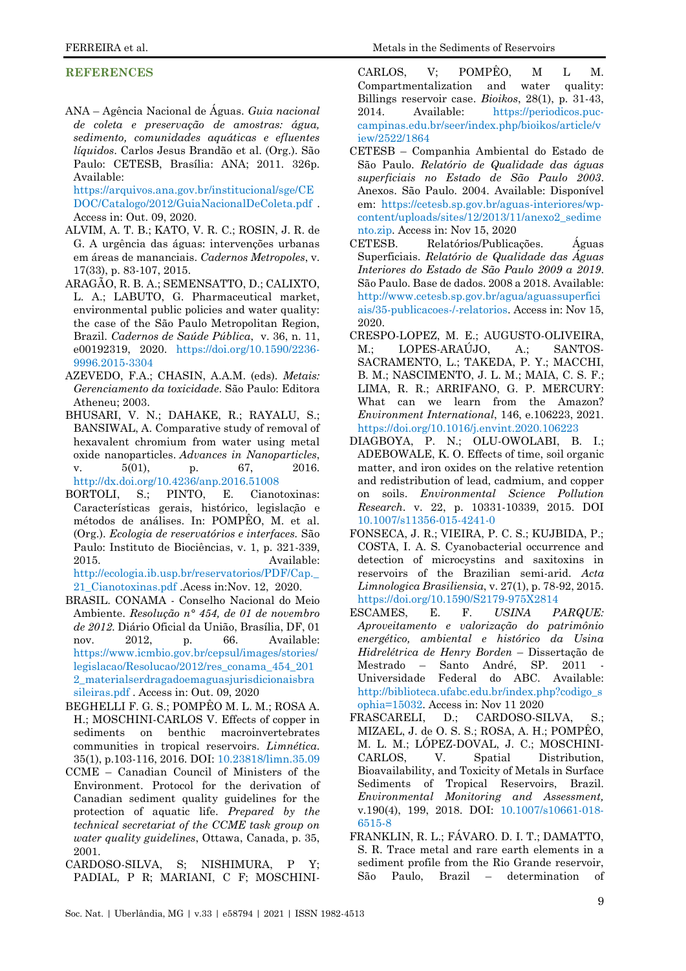#### **REFERENCES**

<span id="page-8-5"></span>ANA – Agência Nacional de Águas. *Guia nacional de coleta e preservação de amostras: água, sedimento, comunidades aquáticas e efluentes líquidos*. Carlos Jesus Brandão et al. (Org.). São Paulo: CETESB, Brasília: ANA; 2011. 326p. Available:

[https://arquivos.ana.gov.br/institucional/sge/CE](https://arquivos.ana.gov.br/institucional/sge/CEDOC/Catalogo/2012/GuiaNacionalDeColeta.pdf) [DOC/Catalogo/2012/GuiaNacionalDeColeta.pdf](https://arquivos.ana.gov.br/institucional/sge/CEDOC/Catalogo/2012/GuiaNacionalDeColeta.pdf) . Access in: Out. 09, 2020.

- <span id="page-8-13"></span>ALVIM, A. T. B.; KATO, V. R. C.; ROSIN, J. R. de G. A urgência das águas: intervenções urbanas em áreas de mananciais. *Cadernos Metropoles*, v. 17(33), p. 83-107, 2015.
- ARAGÃO, R. B. A.; SEMENSATTO, D.; CALIXTO, L. A.; LABUTO, G. Pharmaceutical market, environmental public policies and water quality: the case of the São Paulo Metropolitan Region, Brazil. *Cadernos de Saúde Pública*, v. 36, n. 11, e00192319, 2020. [https://doi.org/10.1590/2236-](https://doi.org/10.1590/2236-9996.2015-3304) [9996.2015-3304](https://doi.org/10.1590/2236-9996.2015-3304)
- AZEVEDO, F.A.; CHASIN, A.A.M. (eds). *Metais: Gerenciamento da toxicidade*. São Paulo: Editora Atheneu; 2003.
- <span id="page-8-1"></span>BHUSARI, V. N.; DAHAKE, R.; RAYALU, S.; BANSIWAL, A. Comparative study of removal of hexavalent chromium from water using metal oxide nanoparticles. *Advances in Nanoparticles*, v. 5(01), p. 67, 2016. <http://dx.doi.org/10.4236/anp.2016.51008>
- <span id="page-8-14"></span>BORTOLI, S.; PINTO, E. Cianotoxinas: Características gerais, histórico, legislação e métodos de análises. In: POMPÊO, M. et al. (Org.). *Ecologia de reservatórios e interfaces.* São Paulo: Instituto de Biociências, v. 1, p. 321-339, 2015. Available:

[http://ecologia.ib.usp.br/reservatorios/PDF/Cap.\\_](http://ecologia.ib.usp.br/reservatorios/PDF/Cap._21_Cianotoxinas.pdf) [21\\_Cianotoxinas.pdf](http://ecologia.ib.usp.br/reservatorios/PDF/Cap._21_Cianotoxinas.pdf) .Acess in:Nov. 12, 2020.

- <span id="page-8-6"></span>BRASIL. CONAMA - Conselho Nacional do Meio Ambiente. *Resolução n° 454, de 01 de novembro de 2012*. Diário Oficial da União, Brasília, DF, 01 nov. 2012, p. 66. Available: [https://www.icmbio.gov.br/cepsul/images/stories/](https://www.icmbio.gov.br/cepsul/images/stories/legislacao/Resolucao/2012/res_conama_454_2012_materialserdragadoemaguasjurisdicionaisbrasileiras.pdf) [legislacao/Resolucao/2012/res\\_conama\\_454\\_201](https://www.icmbio.gov.br/cepsul/images/stories/legislacao/Resolucao/2012/res_conama_454_2012_materialserdragadoemaguasjurisdicionaisbrasileiras.pdf) [2\\_materialserdragadoemaguasjurisdicionaisbra](https://www.icmbio.gov.br/cepsul/images/stories/legislacao/Resolucao/2012/res_conama_454_2012_materialserdragadoemaguasjurisdicionaisbrasileiras.pdf) [sileiras.pdf](https://www.icmbio.gov.br/cepsul/images/stories/legislacao/Resolucao/2012/res_conama_454_2012_materialserdragadoemaguasjurisdicionaisbrasileiras.pdf) . Access in: Out. 09, 2020
- <span id="page-8-11"></span>BEGHELLI F. G. S.; POMPÊO M. L. M.; ROSA A. H.; MOSCHINI-CARLOS V. Effects of copper in sediments on benthic macroinvertebrates communities in tropical reservoirs. *Limnética*. 35(1), p.103-116, 2016. DOI: [10.23818/limn.35.09](file:///C:/Users/Windows%2010/Downloads/10.23818/limn.35.09)
- <span id="page-8-8"></span>CCME – Canadian Council of Ministers of the Environment. Protocol for the derivation of Canadian sediment quality guidelines for the protection of aquatic life. *Prepared by the technical secretariat of the CCME task group on water quality guidelines*, Ottawa, Canada, p. 35, 2001.
- <span id="page-8-3"></span>CARDOSO-SILVA, S; NISHIMURA, P Y; PADIAL, P R; MARIANI, C F; MOSCHINI-

CARLOS, V; POMPÊO, M L M. Compartmentalization and water quality: Billings reservoir case. *Bioikos*, 28(1), p. 31-43, 2014. [Available: https://periodicos.puc](available:%20https://periodicos.puc-campinas.edu.br/seer/index.php/bioikos/article/view/2522/1864)[campinas.edu.br/seer/index.php/bioikos/article/v](available:%20https://periodicos.puc-campinas.edu.br/seer/index.php/bioikos/article/view/2522/1864) [iew/2522/1864](available:%20https://periodicos.puc-campinas.edu.br/seer/index.php/bioikos/article/view/2522/1864)

- <span id="page-8-7"></span>CETESB – Companhia Ambiental do Estado de São Paulo. *Relatório de Qualidade das águas superficiais no Estado de São Paulo 2003*. Anexos. São Paulo. 2004. Available: Disponível em: [https://cetesb.sp.gov.br/aguas-interiores/wp](https://cetesb.sp.gov.br/aguas-interiores/wp-content/uploads/sites/12/2013/11/anexo2_sedimento.zip)[content/uploads/sites/12/2013/11/anexo2\\_sedime](https://cetesb.sp.gov.br/aguas-interiores/wp-content/uploads/sites/12/2013/11/anexo2_sedimento.zip) [nto.zip.](https://cetesb.sp.gov.br/aguas-interiores/wp-content/uploads/sites/12/2013/11/anexo2_sedimento.zip) Access in: Nov 15, 2020
- <span id="page-8-2"></span>CETESB. Relatórios/Publicações. Águas Superficiais. *Relatório de Qualidade das Águas Interiores do Estado de São Paulo 2009 a 2019*. São Paulo. Base de dados. 2008 a 2018. Available: [http://www.cetesb.sp.gov.br/agua/aguassuperfici](http://www.cetesb.sp.gov.br/agua/aguassuperficiais/35-publicacoes-/-relatorios) [ais/35-publicacoes-/-relatorios.](http://www.cetesb.sp.gov.br/agua/aguassuperficiais/35-publicacoes-/-relatorios) Access in: Nov 15, 2020.
- <span id="page-8-10"></span>CRESPO-LOPEZ, M. E.; AUGUSTO-OLIVEIRA, M.; LOPES-ARAÚJO, A.; SANTOS-SACRAMENTO, L.; TAKEDA, P. Y.; MACCHI, B. M.; NASCIMENTO, J. L. M.; MAIA, C. S. F.; LIMA, R. R.; ARRIFANO, G. P. MERCURY: What can we learn from the Amazon? *Environment International*, 146, e.106223, 2021. <https://doi.org/10.1016/j.envint.2020.106223>
- <span id="page-8-0"></span>DIAGBOYA, P. N.; OLU-OWOLABI, B. I.; ADEBOWALE, K. O. Effects of time, soil organic matter, and iron oxides on the relative retention and redistribution of lead, cadmium, and copper on soils. *Environmental Science Pollution Research*. v. 22, p. 10331-10339, 2015. DOI [10.1007/s11356-015-4241-0](file:///C:/Users/Windows%2010/Downloads/10.1007/s11356-015-4241-0)
- <span id="page-8-15"></span>FONSECA, J. R.; VIEIRA, P. C. S.; KUJBIDA, P.; COSTA, I. A. S. Cyanobacterial occurrence and detection of microcystins and saxitoxins in reservoirs of the Brazilian semi-arid. *Acta Limnologica Brasiliensia*, v. 27(1), p. 78-92, 2015[.](https://doi.org/10.1590/S2179-975X2814) <https://doi.org/10.1590/S2179-975X2814>
- <span id="page-8-4"></span>ESCAMES, E. F. *USINA PARQUE: Aproveitamento e valorização do patrimônio energético, ambiental e histórico da Usina Hidrelétrica de Henry Borden* – Dissertação de Mestrado – Santo André, SP. 2011 Universidade Federal do ABC. Available: [http://biblioteca.ufabc.edu.br/index.php?codigo\\_s](http://biblioteca.ufabc.edu.br/index.php?codigo_sophia=15032) [ophia=15032.](http://biblioteca.ufabc.edu.br/index.php?codigo_sophia=15032) Access in: Nov 11 2020
- <span id="page-8-9"></span>FRASCARELI, D.; CARDOSO-SILVA, S.; MIZAEL, J. de O. S. S.; ROSA, A. H.; POMPÊO, M. L. M.; LÓPEZ-DOVAL, J. C.; MOSCHINI-CARLOS, V. Spatial Distribution, Bioavailability, and Toxicity of Metals in Surface Sediments of Tropical Reservoirs, Brazil. *Environmental Monitoring and Assessment,* v.190(4), 199, 2018. DOI: [10.1007/s10661-018-](file:///C:/Users/Windows%2010/Downloads/10.1007/s10661-018-6515-8) [6515-8](file:///C:/Users/Windows%2010/Downloads/10.1007/s10661-018-6515-8)
- <span id="page-8-12"></span>FRANKLIN, R. L.; FÁVARO. D. I. T.; DAMATTO, S. R. Trace metal and rare earth elements in a sediment profile from the Rio Grande reservoir, São Paulo, Brazil – determination of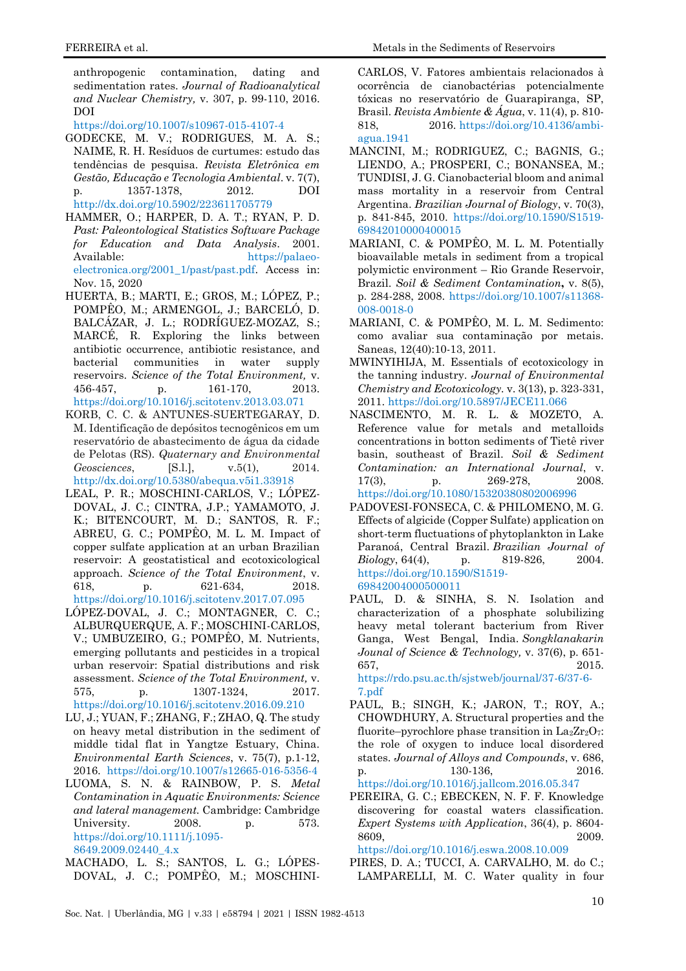anthropogenic contamination, dating and sedimentation rates. *Journal of Radioanalytical and Nuclear Chemistry,* v. 307, p. 99-110, 2016. DOI

<https://doi.org/10.1007/s10967-015-4107-4>

- <span id="page-9-7"></span>GODECKE, M. V.; RODRIGUES, M. A. S.; NAIME, R. H. Resíduos de curtumes: estudo das tendências de pesquisa. *Revista Eletrônica em Gestão, Educação e Tecnologia Ambiental*. v. 7(7), p. 1357-1378, 2012. DOI <http://dx.doi.org/10.5902/223611705779>
- <span id="page-9-12"></span>HAMMER, O.; HARPER, D. A. T.; RYAN, P. D. *Past: Paleontological Statistics Software Package for Education and Data Analysis*. 2001. Available: [https://palaeo](https://palaeo-electronica.org/2001_1/past/past.pdf)[electronica.org/2001\\_1/past/past.pdf.](https://palaeo-electronica.org/2001_1/past/past.pdf) Access in: Nov. 15, 2020
- <span id="page-9-1"></span>HUERTA, B.; MARTI, E.; GROS, M.; LÓPEZ, P.; POMPÊO, M.; ARMENGOL, J.; BARCELÓ, D. BALCÁZAR, J. L.; RODRÍGUEZ-MOZAZ, S.; MARCÉ, R. Exploring the links between antibiotic occurrence, antibiotic resistance, and bacterial communities in water supply reservoirs. *Science of the Total Environment,* v. 456-457, p. 161-170, 2013. <https://doi.org/10.1016/j.scitotenv.2013.03.071>
- <span id="page-9-15"></span>KORB, C. C. & ANTUNES-SUERTEGARAY, D. M. Identificação de depósitos tecnogênicos em um reservatório de abastecimento de água da cidade de Pelotas (RS). *Quaternary and Environmental Geosciences*, [S.l.], v.5(1), 2014. <http://dx.doi.org/10.5380/abequa.v5i1.33918>
- <span id="page-9-14"></span>LEAL, P. R.; MOSCHINI-CARLOS, V.; LÓPEZ-DOVAL, J. C.; CINTRA, J.P.; YAMAMOTO, J. K.; BITENCOURT, M. D.; SANTOS, R. F.; ABREU, G. C.; POMPÊO, M. L. M. Impact of copper sulfate application at an urban Brazilian reservoir: A geostatistical and ecotoxicological approach. *Science of the Total Environment*, v. 618, p. 621-634, 2018. <https://doi.org/10.1016/j.scitotenv.2017.07.095>
- <span id="page-9-2"></span>LÓPEZ-DOVAL, J. C.; MONTAGNER, C. C.; ALBURQUERQUE, A. F.; MOSCHINI-CARLOS, V.; UMBUZEIRO, G.; POMPÊO, M. Nutrients, emerging pollutants and pesticides in a tropical urban reservoir: Spatial distributions and risk assessment. *Science of the Total Environment,* v. 575, p. 1307-1324, 2017. <https://doi.org/10.1016/j.scitotenv.2016.09.210>
- <span id="page-9-5"></span>LU, J.; YUAN, F.; ZHANG, F.; ZHAO, Q. The study on heavy metal distribution in the sediment of middle tidal flat in Yangtze Estuary, China. *Environmental Earth Sciences*, v. 75(7), p.1-12, 2016[. https://doi.org/10.1007/s12665-016-5356-4](https://doi.org/10.1007/s12665-016-5356-4)
- <span id="page-9-8"></span>LUOMA, S. N. & RAINBOW, P. S. *Metal Contamination in Aquatic Environments: Science and lateral management.* Cambridge: Cambridge University. 2008. p. 573. [https://doi.org/10.1111/j.1095-](https://doi.org/10.1111/j.1095-8649.2009.02440_4.x) [8649.2009.02440\\_4.x](https://doi.org/10.1111/j.1095-8649.2009.02440_4.x)
- <span id="page-9-17"></span>MACHADO, L. S.; SANTOS, L. G.; LÓPES-DOVAL, J. C.; POMPÊO, M.; MOSCHINI-

CARLOS, V. Fatores ambientais relacionados à ocorrência de cianobactérias potencialmente tóxicas no reservatório de Guarapiranga, SP, Brasil. *Revista Ambiente & Água*, v. 11(4), p. 810- 818, 2016. [https://doi.org/10.4136/ambi](https://doi.org/10.4136/ambi-agua.1941)[agua.1941](https://doi.org/10.4136/ambi-agua.1941)

- <span id="page-9-16"></span>MANCINI, M.; RODRIGUEZ, C.; BAGNIS, G.; LIENDO, A.; PROSPERI, C.; BONANSEA, M.; TUNDISI, J. G. Cianobacterial bloom and animal mass mortality in a reservoir from Central Argentina. *Brazilian Journal of Biology*, v. 70(3), p. 841-845, 2010. [https://doi.org/10.1590/S1519-](https://doi.org/10.1590/S1519-69842010000400015) [69842010000400015](https://doi.org/10.1590/S1519-69842010000400015)
- <span id="page-9-18"></span><span id="page-9-9"></span>MARIANI, C. & POMPÊO, M. L. M. Potentially bioavailable metals in sediment from a tropical polymictic environment – Rio Grande Reservoir, Brazil. *Soil & Sediment Contamination***,** v. 8(5), p. 284-288, 2008. [https://doi.org/10.1007/s11368-](https://doi.org/10.1007/s11368-008-0018-0) [008-0018-0](https://doi.org/10.1007/s11368-008-0018-0)
- MARIANI, C. & POMPÊO, M. L. M. Sedimento: como avaliar sua contaminação por metais. Saneas, 12(40):10-13, 2011.
- <span id="page-9-6"></span>MWINYIHIJA, M. Essentials of ecotoxicology in the tanning industry. *Journal of Environmental Chemistry and Ecotoxicology.* v. 3(13), p. 323-331, 2011. <https://doi.org/10.5897/JECE11.066>
- <span id="page-9-11"></span>NASCIMENTO, M. R. L. & MOZETO, A. Reference value for metals and metalloids concentrations in botton sediments of Tietê river basin, southeast of Brazil. *Soil & Sediment Contamination: an International Journal*, v. 17(3), p. 269-278, 2008.

<https://doi.org/10.1080/15320380802006996>

- <span id="page-9-13"></span>PADOVESI-FONSECA, C. & PHILOMENO, M. G. Effects of algicide (Copper Sulfate) application on short-term fluctuations of phytoplankton in Lake Paranoá, Central Brazil. *Brazilian Journal of Biology*, 64(4), p[.](https://doi.org/10.1590/S1519-69842004000500011) 819-826, 2004. [https://doi.org/10.1590/S1519-](https://doi.org/10.1590/S1519-69842004000500011) [69842004000500011](https://doi.org/10.1590/S1519-69842004000500011)
- <span id="page-9-4"></span>PAUL, D. & SINHA, S. N. Isolation and characterization of a phosphate solubilizing heavy metal tolerant bacterium from River Ganga, West Bengal, India. *Songklanakarin Jounal of Science & Technology,* v. 37(6), p. 651- 657, 2015[.](https://rdo.psu.ac.th/sjstweb/journal/37-6/37-6-7.pdf)

[https://rdo.psu.ac.th/sjstweb/journal/37-6/37-6-](https://rdo.psu.ac.th/sjstweb/journal/37-6/37-6-7.pdf) [7.pdf](https://rdo.psu.ac.th/sjstweb/journal/37-6/37-6-7.pdf)

<span id="page-9-3"></span>PAUL, B.; SINGH, K.; JARON, T.; ROY, A.; CHOWDHURY, A. Structural properties and the fluorite–pyrochlore phase transition in  $\text{La}_2\text{Zr}_2\text{O}_7$ : the role of oxygen to induce local disordered states. *Journal of Alloys and Compounds*, v. 686, p. 130-136, 2016.

<span id="page-9-0"></span><https://doi.org/10.1016/j.jallcom.2016.05.347> PEREIRA, G. C.; EBECKEN, N. F. F. Knowledge discovering for coastal waters classification. *Expert Systems with Application*, 36(4), p. 8604- 8609, 2009[.](https://doi.org/10.1016/j.eswa.2008.10.009)

<https://doi.org/10.1016/j.eswa.2008.10.009>

<span id="page-9-10"></span>PIRES, D. A.; TUCCI, A. CARVALHO, M. do C.; LAMPARELLI, M. C. Water quality in four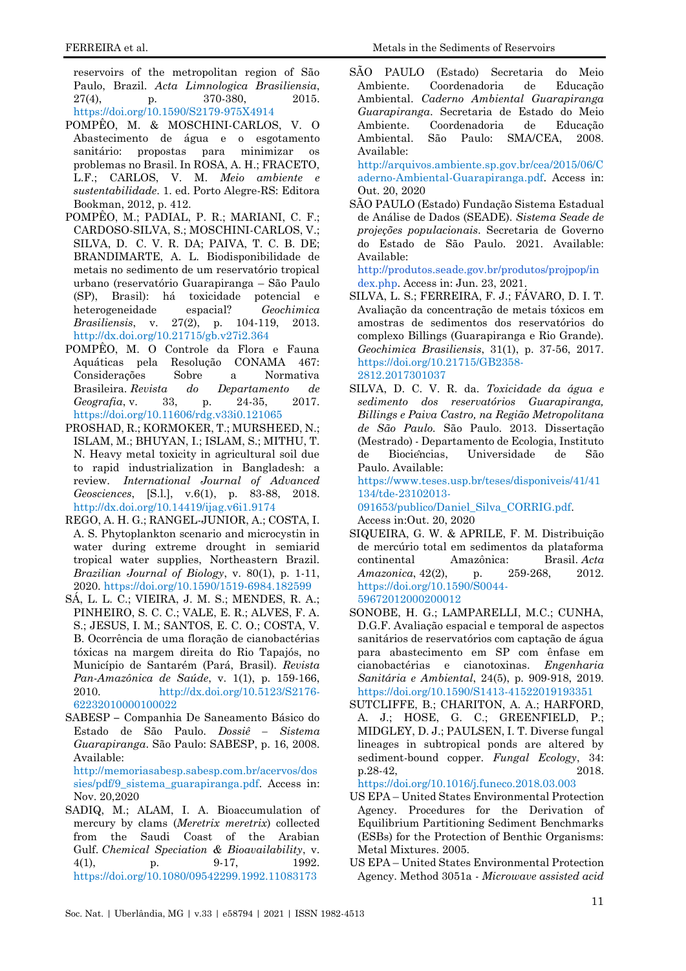reservoirs of the metropolitan region of São Paulo, Brazil. *Acta Limnologica Brasiliensia*, 27(4), p. 370-380, 2015[.](https://doi.org/10.1590/S2179-975X4914) <https://doi.org/10.1590/S2179-975X4914>

- <span id="page-10-6"></span>POMPÊO, M. & MOSCHINI-CARLOS, V. O Abastecimento de água e o esgotamento sanitário: propostas para minimizar os problemas no Brasil. In ROSA, A. H.; FRACETO, L.F.; CARLOS, V. M. *Meio ambiente e sustentabilidade*. 1. ed. Porto Alegre-RS: Editora Bookman, 2012, p. 412.
- <span id="page-10-4"></span>POMPÊO, M.; PADIAL, P. R.; MARIANI, C. F.; CARDOSO-SILVA, S.; MOSCHINI-CARLOS, V.; SILVA, D. C. V. R. DA; PAIVA, T. C. B. DE; BRANDIMARTE, A. L. Biodisponibilidade de metais no sedimento de um reservatório tropical urbano (reservatório Guarapiranga – São Paulo (SP), Brasil): há toxicidade potencial e heterogeneidade espacial? *Geochimica Brasiliensis*, v. 27(2), p. 104-119, 2013[.](http://dx.doi.org/10.21715/gb.v27i2.364) <http://dx.doi.org/10.21715/gb.v27i2.364>
- POMPÊO, M. O Controle da Flora e Fauna Aquáticas pela Resolução CONAMA 467: Considerações Sobre a Normativa Brasileira. *Revista do Departamento de Geografia*, v. 33, p. 24-35, 2017. <https://doi.org/10.11606/rdg.v33i0.121065>
- <span id="page-10-0"></span>PROSHAD, R.; KORMOKER, T.; MURSHEED, N.; ISLAM, M.; BHUYAN, I.; ISLAM, S.; MITHU, T. N. Heavy metal toxicity in agricultural soil due to rapid industrialization in Bangladesh: a review. *International Journal of Advanced Geosciences*, [S.l.], v.6(1), p. 83-88, 2018. <http://dx.doi.org/10.14419/ijag.v6i1.9174>
- <span id="page-10-12"></span>REGO, A. H. G.; RANGEL-JUNIOR, A.; COSTA, I. A. S. Phytoplankton scenario and microcystin in water during extreme drought in semiarid tropical water supplies, Northeastern Brazil. *Brazilian Journal of Biology*, v. 80(1), p. 1-11, 2020. <https://doi.org/10.1590/1519-6984.182599>
- <span id="page-10-11"></span>SÁ, L. L. C.; VIEIRA, J. M. S.; MENDES, R. A.; PINHEIRO, S. C. C.; VALE, E. R.; ALVES, F. A. S.; JESUS, I. M.; SANTOS, E. C. O.; COSTA, V. B. Ocorrência de uma floração de cianobactérias tóxicas na margem direita do Rio Tapajós, no Município de Santarém (Pará, Brasil). *Revista Pan-Amazônica de Saúde*, v. 1(1), p. 159-166, 2010. [http://dx.doi.org/10.5123/S2176-](http://dx.doi.org/10.5123/S2176-62232010000100022) [62232010000100022](http://dx.doi.org/10.5123/S2176-62232010000100022)
- <span id="page-10-7"></span>SABESP **–** Companhia De Saneamento Básico do Estado de São Paulo. *Dossiê – Sistema Guarapiranga*. São Paulo: SABESP, p. 16, 2008. Available:

[http://memoriasabesp.sabesp.com.br/acervos/dos](http://memoriasabesp.sabesp.com.br/acervos/dossies/pdf/9_sistema_guarapiranga.pdf) [sies/pdf/9\\_sistema\\_guarapiranga.pdf.](http://memoriasabesp.sabesp.com.br/acervos/dossies/pdf/9_sistema_guarapiranga.pdf) Access in: Nov. 20,2020

<span id="page-10-1"></span>SADIQ, M.; ALAM, I. A. Bioaccumulation of mercury by clams (*Meretrix meretrix*) collected from the Saudi Coast of the Arabian Gulf. *Chemical Speciation & Bioavailability*, v. 4(1), p. 9-17, 1992. <https://doi.org/10.1080/09542299.1992.11083173>

<span id="page-10-3"></span>SÃO PAULO (Estado) Secretaria do Meio Ambiente. Coordenadoria de Educação Ambiental. *Caderno Ambiental Guarapiranga Guarapiranga*. Secretaria de Estado do Meio Ambiente. Coordenadoria de Educação Ambiental. São Paulo: SMA/CEA, 2008. Available: [http://arquivos.ambiente.sp.gov.br/cea/2015/06/C](http://arquivos.ambiente.sp.gov.br/cea/2015/06/Caderno-Ambiental-Guarapiranga.pdf)

[aderno-Ambiental-Guarapiranga.pdf.](http://arquivos.ambiente.sp.gov.br/cea/2015/06/Caderno-Ambiental-Guarapiranga.pdf) Access in: Out. 20, 2020

SÃO PAULO (Estado) Fundação Sistema Estadual de Análise de Dados (SEADE). *Sistema Seade de projeções populacionais*. Secretaria de Governo do Estado de São Paulo. 2021. Available: Available:

<span id="page-10-5"></span>[http://produtos.seade.gov.br/produtos/projpop/in](http://produtos.seade.gov.br/produtos/projpop/index.php) [dex.php.](http://produtos.seade.gov.br/produtos/projpop/index.php) Access in: Jun. 23, 2021.

- <span id="page-10-9"></span>SILVA, L. S.; FERREIRA, F. J.; FÁVARO, D. I. T. Avaliação da concentração de metais tóxicos em amostras de sedimentos dos reservatórios do complexo Billings (Guarapiranga e Rio Grande). *Geochimica Brasiliensis*, 31(1), p. 37-56, 2017[.](https://doi.org/10.21715/GB2358-2812.2017301037) [https://doi.org/10.21715/GB2358-](https://doi.org/10.21715/GB2358-2812.2017301037) [2812.2017301037](https://doi.org/10.21715/GB2358-2812.2017301037)
- SILVA, D. C. V. R. da. *Toxicidade da água e sedimento dos reservatórios Guarapiranga, Billings e Paiva Castro, na Região Metropolitana de São Paulo.* São Paulo. 2013. Dissertação (Mestrado) - Departamento de Ecologia, Instituto de Biociências, Universidade de São Paulo. Available:

[https://www.teses.usp.br/teses/disponiveis/41/41](https://www.teses.usp.br/teses/disponiveis/41/41134/tde-23102013-091653/publico/Daniel_Silva_CORRIG.pdf) [134/tde-23102013-](https://www.teses.usp.br/teses/disponiveis/41/41134/tde-23102013-091653/publico/Daniel_Silva_CORRIG.pdf) [091653/publico/Daniel\\_Silva\\_CORRIG.pdf.](https://www.teses.usp.br/teses/disponiveis/41/41134/tde-23102013-091653/publico/Daniel_Silva_CORRIG.pdf)

Access in:Out. 20, 2020

- <span id="page-10-2"></span>SIQUEIRA, G. W. & APRILE, F. M. Distribuição de mercúrio total em sedimentos da plataforma continental Amazônica: Brasil. *Acta Amazonica*, 42(2), p[.](https://doi.org/10.1590/S0044-59672012000200012) 259-268, 2012. [https://doi.org/10.1590/S0044-](https://doi.org/10.1590/S0044-59672012000200012) [59672012000200012](https://doi.org/10.1590/S0044-59672012000200012)
- <span id="page-10-13"></span>SONOBE, H. G.; LAMPARELLI, M.C.; CUNHA, D.G.F. Avaliação espacial e temporal de aspectos sanitários de reservatórios com captação de água para abastecimento em SP com ênfase em cianobactérias e cianotoxinas. *Engenharia Sanitária e Ambiental*, 24(5), p. 909-918, 2019[.](https://doi.org/10.1590/S1413-41522019193351) <https://doi.org/10.1590/S1413-41522019193351>
- <span id="page-10-10"></span>SUTCLIFFE, B.; CHARITON, A. A.; HARFORD, A. J.; HOSE, G. C.; GREENFIELD, P.; MIDGLEY, D. J.; PAULSEN, I. T. Diverse fungal lineages in subtropical ponds are altered by sediment-bound copper. *Fungal Ecology*, 34: p.28-42, 2018.

<https://doi.org/10.1016/j.funeco.2018.03.003>

- <span id="page-10-14"></span>US EPA – United States Environmental Protection Agency. Procedures for the Derivation of Equilibrium Partitioning Sediment Benchmarks (ESBs) for the Protection of Benthic Organisms: Metal Mixtures. 2005.
- <span id="page-10-8"></span>US EPA – United States Environmental Protection Agency. Method 3051a - *Microwave assisted acid*